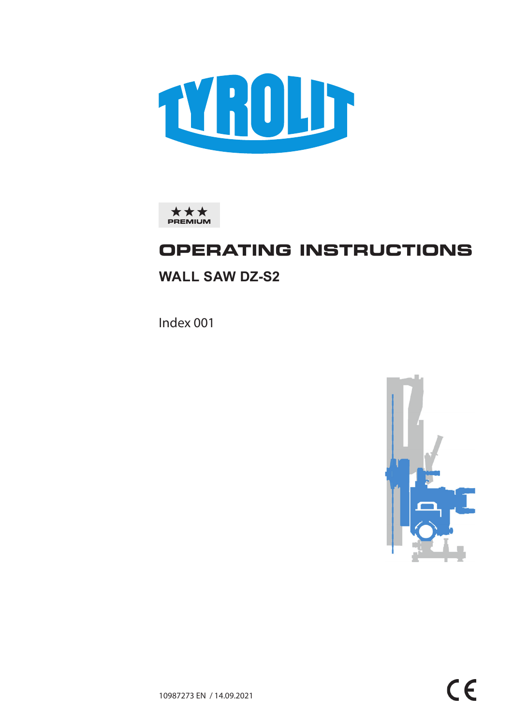



# **OPERATING INSTRUCTIONS**

# **WALL SAW DZ-S2**

Index 001

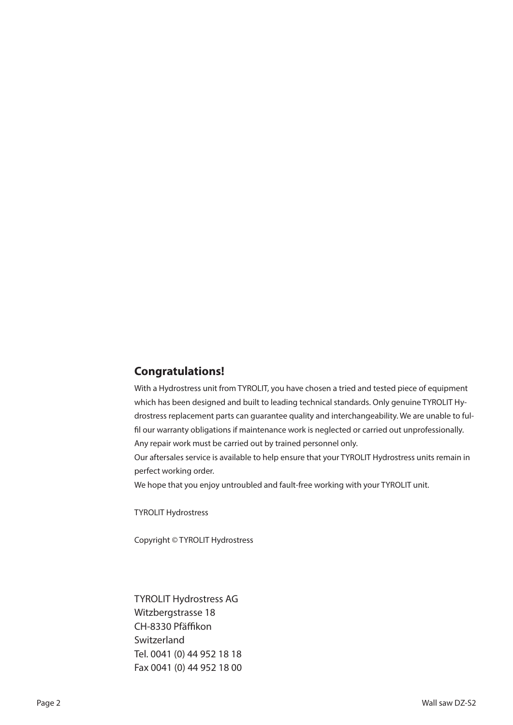# **Congratulations!**

With a Hydrostress unit from TYROLIT, you have chosen a tried and tested piece of equipment which has been designed and built to leading technical standards. Only genuine TYROLIT Hydrostress replacement parts can guarantee quality and interchangeability. We are unable to fulfil our warranty obligations if maintenance work is neglected or carried out unprofessionally. Any repair work must be carried out by trained personnel only.

Our aftersales service is available to help ensure that your TYROLIT Hydrostress units remain in perfect working order.

We hope that you enjoy untroubled and fault-free working with your TYROLIT unit.

TYROLIT Hydrostress

Copyright © TYROLIT Hydrostress

TYROLIT Hydrostress AG Witzbergstrasse 18 CH-8330 Pfäffikon **Switzerland** Tel. 0041 (0) 44 952 18 18 Fax 0041 (0) 44 952 18 00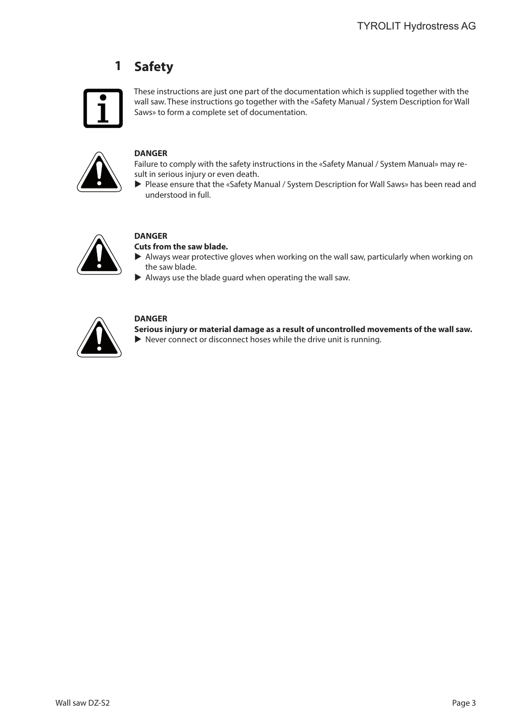### **Safety 1**



These instructions are just one part of the documentation which is supplied together with the wall saw. These instructions go together with the «Safety Manual / System Description for Wall Saws» to form a complete set of documentation.



# **DANGER**

Failure to comply with the safety instructions in the «Safety Manual / System Manual» may result in serious injury or even death.

Please ensure that the «Safety Manual / System Description for Wall Saws» has been read and understood in full.



# **DANGER**

### **Cuts from the saw blade.**

- If Always wear protective gloves when working on the wall saw, particularly when working on the saw blade.
- $\blacktriangleright$  Always use the blade guard when operating the wall saw.



# **DANGER**

**Serious injury or material damage as a result of uncontrolled movements of the wall saw.**

 $\blacktriangleright$  Never connect or disconnect hoses while the drive unit is running.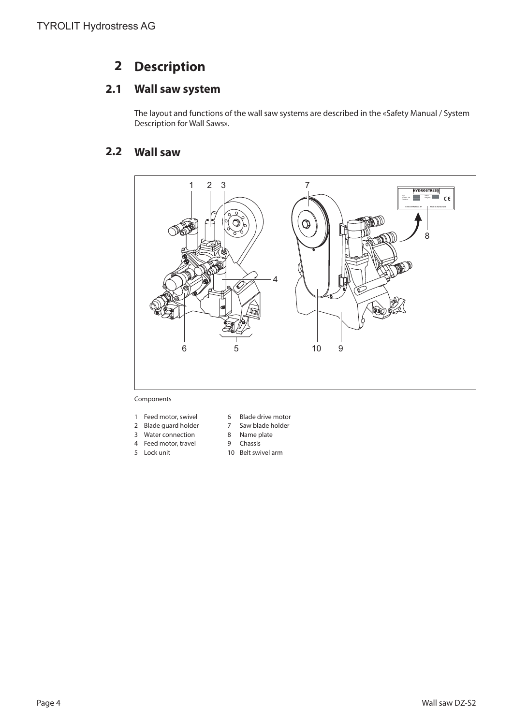### **Description 2**

### **Wall saw system 2.1**

The layout and functions of the wall saw systems are described in the «Safety Manual / System Description for Wall Saws».

### **Wall saw 2.2**



## Components

- 1 Feed motor, swivel 6 Blade drive motor
- 
- 3 Water connection 8 Name plate
- 
- 
- 2 Blade guard holder 7 Saw blade holder
	-
- 4 Feed motor, travel 9 Chassis
- 5 Lock unit 10 Belt swivel arm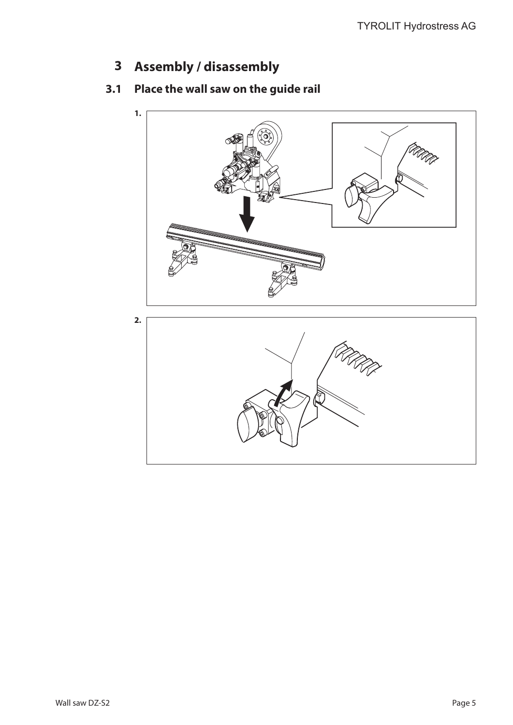**Assembly / disassembly 3**

### **Place the wall saw on the guide rail 3.1**

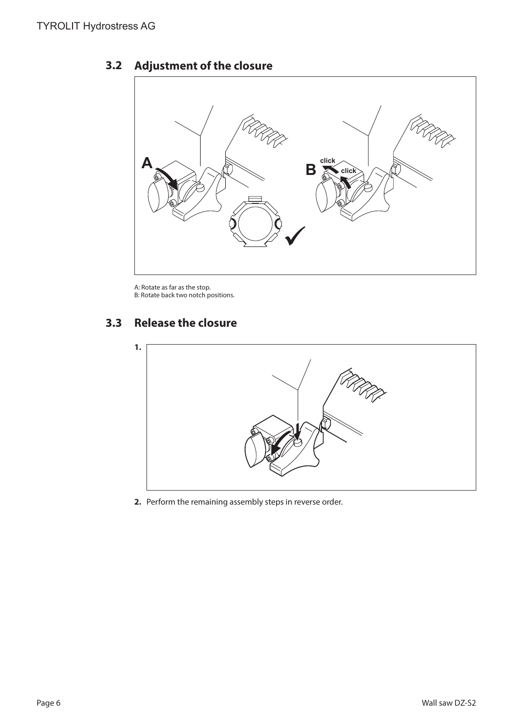# UR **A A B B Click**

### **Adjustment of the closure 3.2**

A: Rotate as far as the stop. B: Rotate back two notch positions.

### **Release the closure 3.3**



**2.** Perform the remaining assembly steps in reverse order.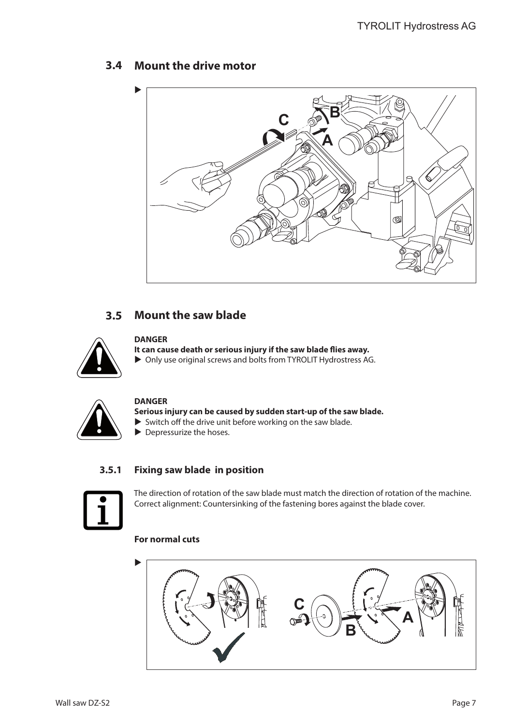# **Mount the drive motor 3.4**



# **Mount the saw blade 3.5**



# **DANGER**

**It can cause death or serious injury if the saw blade flies away.**  $\triangleright$  Only use original screws and bolts from TYROLIT Hydrostress AG.



## **DANGER**

**Serious injury can be caused by sudden start-up of the saw blade.**

- $\triangleright$  Switch off the drive unit before working on the saw blade.
- $\blacktriangleright$  Depressurize the hoses.

### **Fixing saw blade in position 3.5.1**



The direction of rotation of the saw blade must match the direction of rotation of the machine. Correct alignment: Countersinking of the fastening bores against the blade cover.

# **For normal cuts**

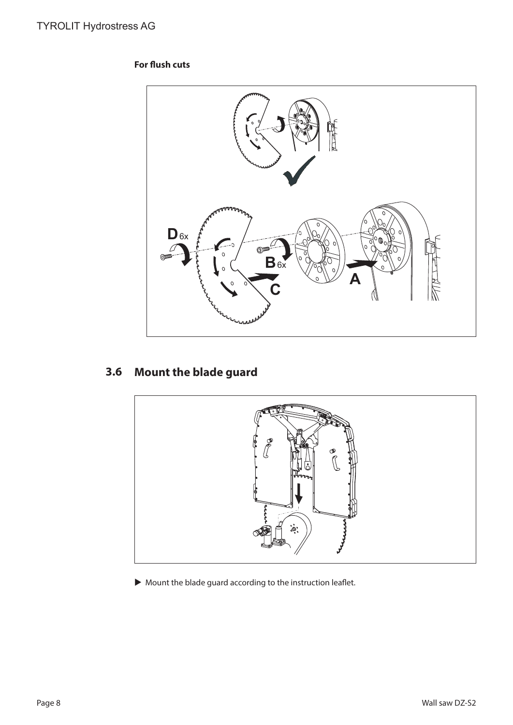# **For flush cuts**



# **Mount the blade guard 3.6**



 $\blacktriangleright$  Mount the blade guard according to the instruction leaflet.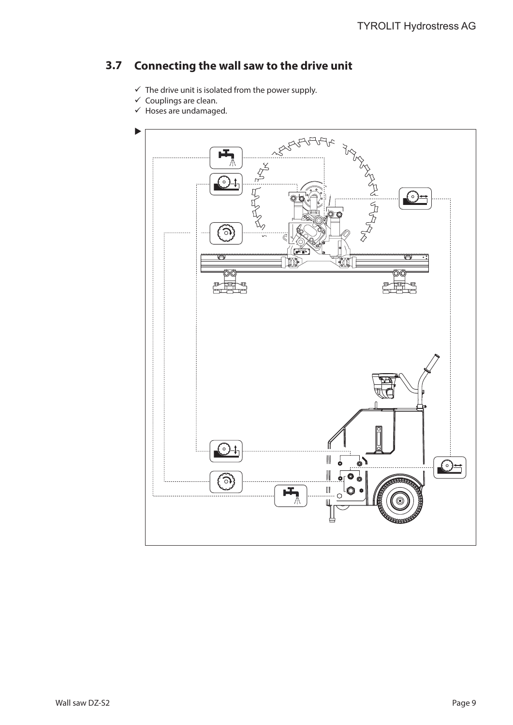### **Connecting the wall saw to the drive unit 3.7**

- $\checkmark$  The drive unit is isolated from the power supply.
- $\checkmark$  Couplings are clean.
- $\checkmark$  Hoses are undamaged.

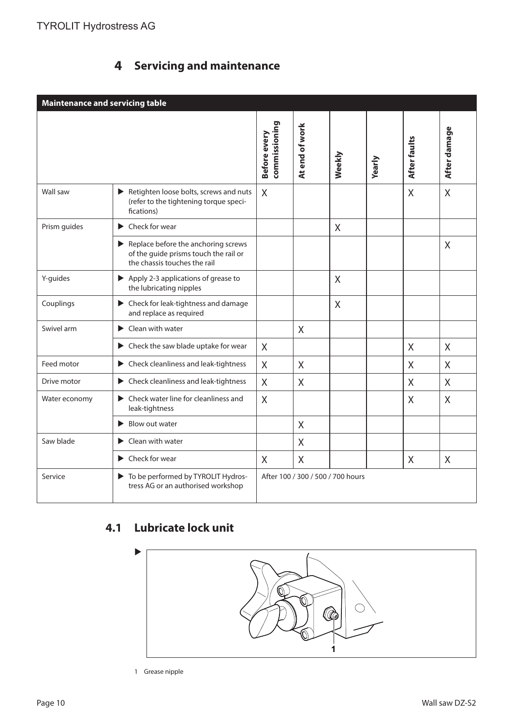### **Servicing and maintenance 4**

| <b>Maintenance and servicing table</b> |                                                                                                                                    |                               |                                   |        |        |                |              |
|----------------------------------------|------------------------------------------------------------------------------------------------------------------------------------|-------------------------------|-----------------------------------|--------|--------|----------------|--------------|
|                                        |                                                                                                                                    | commissioning<br>Before every | At end of work                    | Weekly | Yearly | After faults   | After damage |
| Wall saw                               | Retighten loose bolts, screws and nuts<br>(refer to the tightening torque speci-<br>fications)                                     | X                             |                                   |        |        | $\overline{X}$ | $\times$     |
| Prism guides                           | $\blacktriangleright$ Check for wear                                                                                               |                               |                                   | X      |        |                |              |
|                                        | $\blacktriangleright$ Replace before the anchoring screws<br>of the guide prisms touch the rail or<br>the chassis touches the rail |                               |                                   |        |        |                | $\sf X$      |
| Y-guides                               | Apply 2-3 applications of grease to<br>the lubricating nipples                                                                     |                               |                                   | X      |        |                |              |
| Couplings                              | ▶ Check for leak-tightness and damage<br>and replace as required                                                                   |                               |                                   | X      |        |                |              |
| Swivel arm                             | Clean with water                                                                                                                   |                               | $\sf X$                           |        |        |                |              |
|                                        | $\blacktriangleright$ Check the saw blade uptake for wear                                                                          | X                             |                                   |        |        | X              | $\sf X$      |
| Feed motor                             | $\blacktriangleright$ Check cleanliness and leak-tightness                                                                         | X                             | X                                 |        |        | X              | X            |
| Drive motor                            | $\blacktriangleright$ Check cleanliness and leak-tightness                                                                         | $\sf X$                       | $\sf X$                           |        |        | X              | X            |
| Water economy                          | $\blacktriangleright$ Check water line for cleanliness and<br>leak-tightness                                                       | X                             |                                   |        |        | X              | $\chi$       |
|                                        | $\blacktriangleright$ Blow out water                                                                                               |                               | X                                 |        |        |                |              |
| Saw blade                              | ▶ Clean with water                                                                                                                 |                               | $\mathsf{X}$                      |        |        |                |              |
|                                        | $\blacktriangleright$ Check for wear                                                                                               | X                             | $\chi$                            |        |        | X              | X            |
| Service                                | To be performed by TYROLIT Hydros-<br>tress AG or an authorised workshop                                                           |                               | After 100 / 300 / 500 / 700 hours |        |        |                |              |

# **Lubricate lock unit 4.1**



1 Grease nipple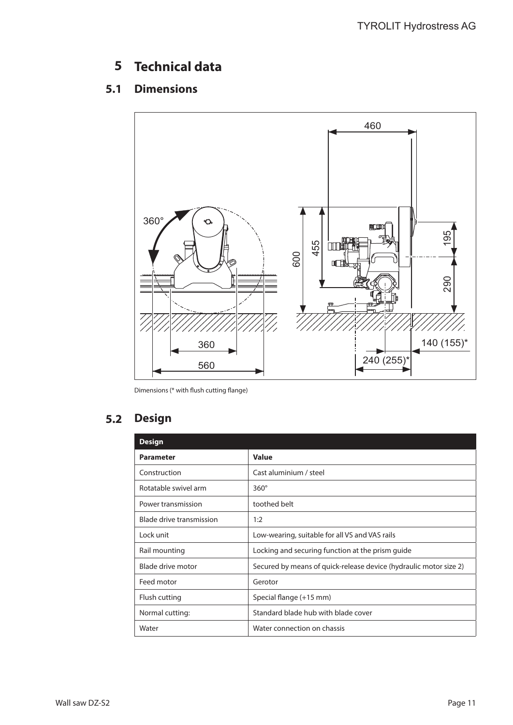### **Technical data 5**

### **Dimensions 5.1**



Dimensions (\* with flush cutting flange)

### **Design 5.2**

| <b>Design</b>            |                                                                   |
|--------------------------|-------------------------------------------------------------------|
| <b>Parameter</b>         | <b>Value</b>                                                      |
| Construction             | Cast aluminium / steel                                            |
| Rotatable swivel arm     | $360^\circ$                                                       |
| Power transmission       | toothed belt                                                      |
| Blade drive transmission | 1:2                                                               |
| Lock unit                | Low-wearing, suitable for all VS and VAS rails                    |
| Rail mounting            | Locking and securing function at the prism quide                  |
| Blade drive motor        | Secured by means of quick-release device (hydraulic motor size 2) |
| Feed motor               | Gerotor                                                           |
| Flush cutting            | Special flange (+15 mm)                                           |
| Normal cutting:          | Standard blade hub with blade cover                               |
| Water                    | Water connection on chassis                                       |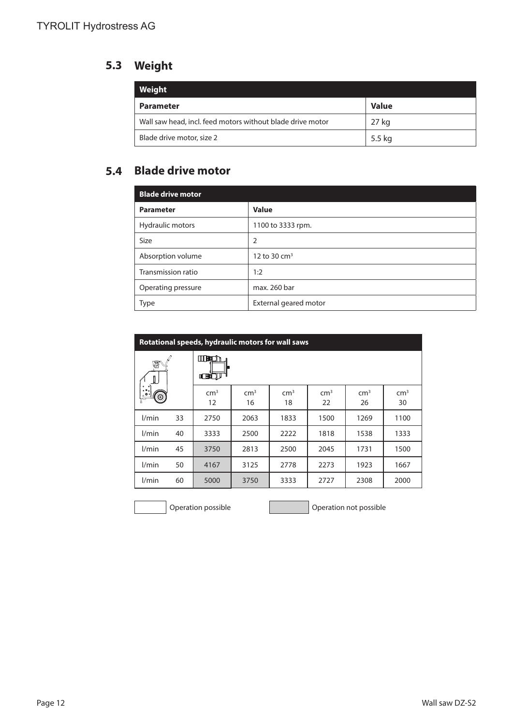# **Weight 5.3**

| Weight                                                     |              |
|------------------------------------------------------------|--------------|
| <b>Parameter</b>                                           | <b>Value</b> |
| Wall saw head, incl. feed motors without blade drive motor | 27 kg        |
| Blade drive motor, size 2                                  | 5.5 kg       |

# **Blade drive motor 5.4**

| <b>Blade drive motor</b> |                       |
|--------------------------|-----------------------|
| <b>Parameter</b>         | <b>Value</b>          |
| Hydraulic motors         | 1100 to 3333 rpm.     |
| <b>Size</b>              | 2                     |
| Absorption volume        | 12 to 30 $cm3$        |
| Transmission ratio       | 1:2                   |
| Operating pressure       | max. 260 bar          |
| <b>Type</b>              | External geared motor |

| Rotational speeds, hydraulic motors for wall saws |    |                            |                       |                       |                       |                       |                       |
|---------------------------------------------------|----|----------------------------|-----------------------|-----------------------|-----------------------|-----------------------|-----------------------|
| 但                                                 |    | <b>MBO</b><br><b>ICBIT</b> |                       |                       |                       |                       |                       |
| ෧                                                 |    | cm <sup>3</sup><br>12      | cm <sup>3</sup><br>16 | cm <sup>3</sup><br>18 | cm <sup>3</sup><br>22 | cm <sup>3</sup><br>26 | cm <sup>3</sup><br>30 |
| l/min                                             | 33 | 2750                       | 2063                  | 1833                  | 1500                  | 1269                  | 1100                  |
| l/min                                             | 40 | 3333                       | 2500                  | 2222                  | 1818                  | 1538                  | 1333                  |
| l/min                                             | 45 | 3750                       | 2813                  | 2500                  | 2045                  | 1731                  | 1500                  |
| l/min                                             | 50 | 4167                       | 3125                  | 2778                  | 2273                  | 1923                  | 1667                  |
| l/min                                             | 60 | 5000                       | 3750                  | 3333                  | 2727                  | 2308                  | 2000                  |

Operation possible **Operation 1996** Operation not possible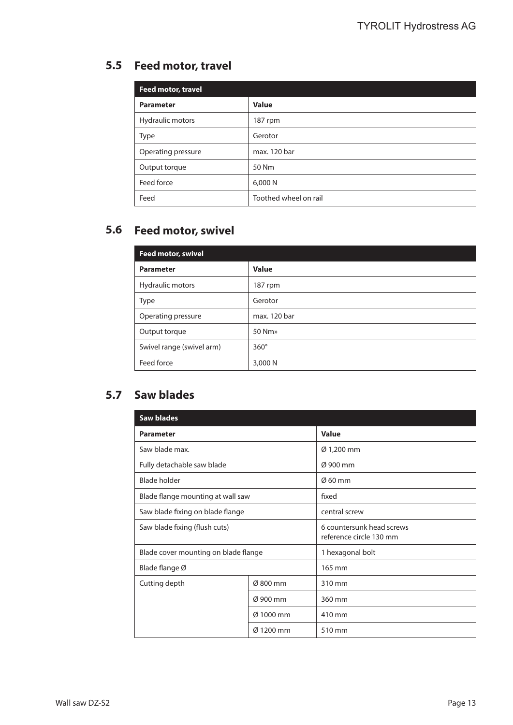# **Feed motor, travel 5.5**

| Feed motor, travel |                       |
|--------------------|-----------------------|
| <b>Parameter</b>   | <b>Value</b>          |
| Hydraulic motors   | 187 rpm               |
| <b>Type</b>        | Gerotor               |
| Operating pressure | max. 120 bar          |
| Output torque      | 50 Nm                 |
| Feed force         | 6,000 N               |
| Feed               | Toothed wheel on rail |

# **Feed motor, swivel 5.6**

| <b>Feed motor, swivel</b> |              |
|---------------------------|--------------|
| <b>Parameter</b>          | <b>Value</b> |
| Hydraulic motors          | 187 rpm      |
| <b>Type</b>               | Gerotor      |
| Operating pressure        | max. 120 bar |
| Output torque             | 50 Nm»       |
| Swivel range (swivel arm) | $360^\circ$  |
| Feed force                | 3,000 N      |

# **Saw blades 5.7**

| <b>Saw blades</b>                    |           |                                                      |  |
|--------------------------------------|-----------|------------------------------------------------------|--|
| <b>Parameter</b>                     |           | <b>Value</b>                                         |  |
| Saw blade max.                       |           | Ø 1,200 mm                                           |  |
| Fully detachable saw blade           |           | $\alpha$ 900 mm                                      |  |
| <b>Blade holder</b>                  |           | $\varnothing$ 60 mm                                  |  |
| Blade flange mounting at wall saw    |           | fixed                                                |  |
| Saw blade fixing on blade flange     |           | central screw                                        |  |
| Saw blade fixing (flush cuts)        |           | 6 countersunk head screws<br>reference circle 130 mm |  |
| Blade cover mounting on blade flange |           | 1 hexagonal bolt                                     |  |
| Blade flange Ø                       |           | 165 mm                                               |  |
| Cutting depth                        | Ø 800 mm  | 310 mm                                               |  |
| Ø 900 mm<br>Ø 1000 mm                |           | 360 mm                                               |  |
|                                      |           | 410 mm                                               |  |
|                                      | Ø 1200 mm | 510 mm                                               |  |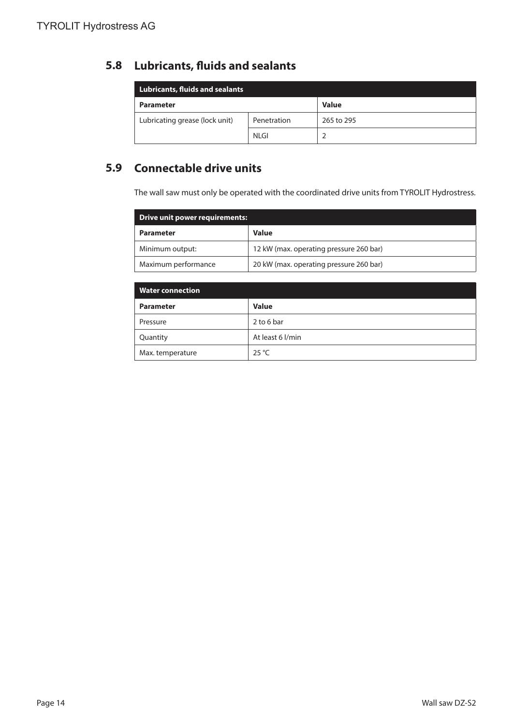### **Lubricants, fluids and sealants 5.8**

| <b>Lubricants, fluids and sealants</b> |             |              |  |  |
|----------------------------------------|-------------|--------------|--|--|
| <b>Parameter</b>                       |             | <b>Value</b> |  |  |
| Lubricating grease (lock unit)         | Penetration | 265 to 295   |  |  |
|                                        | <b>NLGI</b> |              |  |  |

# **Connectable drive units 5.9**

The wall saw must only be operated with the coordinated drive units from TYROLIT Hydrostress.

| <b>Drive unit power requirements:</b> |                                         |  |  |  |
|---------------------------------------|-----------------------------------------|--|--|--|
| <b>Parameter</b>                      | <b>Value</b>                            |  |  |  |
| Minimum output:                       | 12 kW (max. operating pressure 260 bar) |  |  |  |
| Maximum performance                   | 20 kW (max. operating pressure 260 bar) |  |  |  |

| <b>Water connection</b> |                  |  |  |  |
|-------------------------|------------------|--|--|--|
| <b>Parameter</b>        | <b>Value</b>     |  |  |  |
| Pressure                | 2 to 6 bar       |  |  |  |
| Quantity                | At least 6 l/min |  |  |  |
| Max. temperature        | $25^{\circ}$ C   |  |  |  |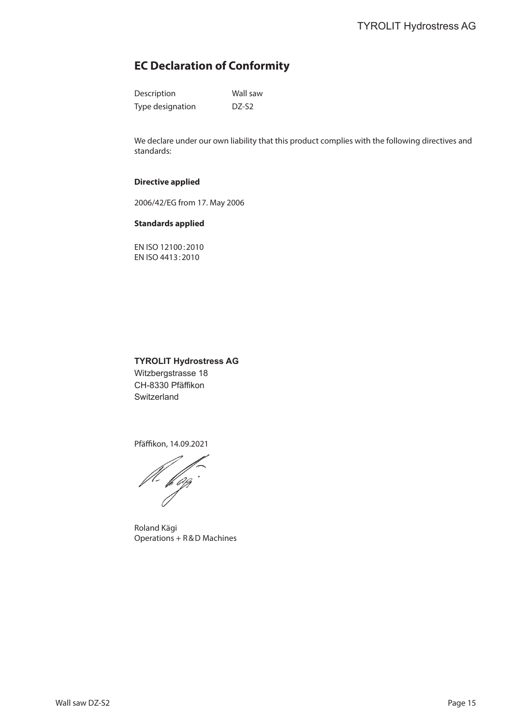# **EC Declaration of Conformity**

| Description      | Wall saw          |
|------------------|-------------------|
| Type designation | DZ-S <sub>2</sub> |

We declare under our own liability that this product complies with the following directives and standards:

### **Directive applied**

2006/42/EG from 17. May 2006

### **Standards applied**

EN ISO 12100:2010 EN ISO 4413:2010

# **TYROLIT Hydrostress AG**

Witzbergstrasse 18 CH-8330 Pfäffikon **Switzerland** 

Pfäffikon, 14.09.2021

fl. ffgg

Roland Kägi Operations + R&D Machines